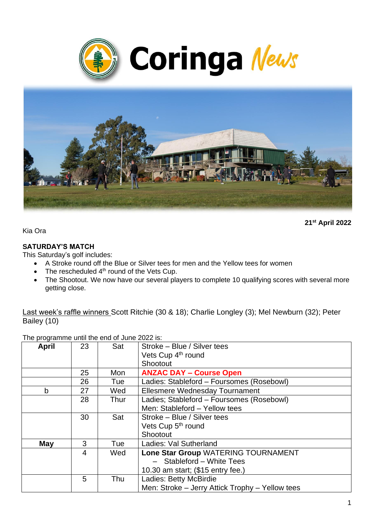



**21st April 2022**

Kia Ora

#### **SATURDAY'S MATCH**

This Saturday's golf includes:

- A Stroke round off the Blue or Silver tees for men and the Yellow tees for women
- $\bullet$  The rescheduled  $4<sup>th</sup>$  round of the Vets Cup.
- The Shootout. We now have our several players to complete 10 qualifying scores with several more getting close.

Last week's raffle winners Scott Ritchie (30 & 18); Charlie Longley (3); Mel Newburn (32); Peter Bailey (10)

The programme until the end of June 2022 is:

| <b>April</b> | 23 | Sat  | Stroke - Blue / Silver tees                     |
|--------------|----|------|-------------------------------------------------|
|              |    |      | Vets Cup 4 <sup>th</sup> round                  |
|              |    |      | Shootout                                        |
|              | 25 | Mon  | <b>ANZAC DAY - Course Open</b>                  |
|              | 26 | Tue  | Ladies: Stableford - Foursomes (Rosebowl)       |
| b            | 27 | Wed  | Ellesmere Wednesday Tournament                  |
|              | 28 | Thur | Ladies; Stableford - Foursomes (Rosebowl)       |
|              |    |      | Men: Stableford - Yellow tees                   |
|              | 30 | Sat  | Stroke – Blue / Silver tees                     |
|              |    |      | Vets Cup 5 <sup>th</sup> round                  |
|              |    |      | Shootout                                        |
| May          | 3  | Tue  | Ladies: Val Sutherland                          |
|              | 4  | Wed  | Lone Star Group WATERING TOURNAMENT             |
|              |    |      | - Stableford - White Tees                       |
|              |    |      | 10.30 am start; (\$15 entry fee.)               |
|              | 5  | Thu  | Ladies: Betty McBirdie                          |
|              |    |      | Men: Stroke - Jerry Attick Trophy - Yellow tees |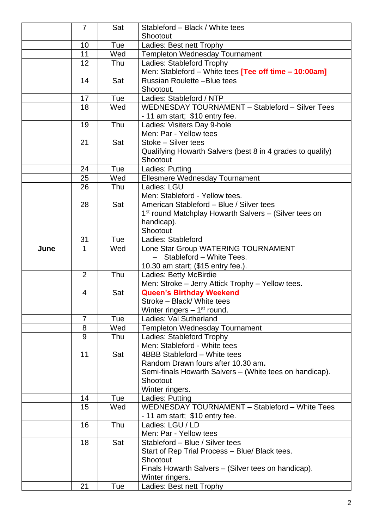|      | $\overline{7}$ | Sat | Stableford - Black / White tees                                                 |
|------|----------------|-----|---------------------------------------------------------------------------------|
|      |                |     | Shootout                                                                        |
|      | 10             | Tue | Ladies: Best nett Trophy                                                        |
|      | 11             | Wed | <b>Templeton Wednesday Tournament</b>                                           |
|      | 12             | Thu | Ladies: Stableford Trophy                                                       |
|      |                |     | Men: Stableford - White tees [Tee off time - 10:00am]                           |
|      | 14             | Sat | <b>Russian Roulette-Blue tees</b>                                               |
|      |                |     | Shootout.                                                                       |
|      | 17             | Tue | Ladies: Stableford / NTP                                                        |
|      | 18             | Wed | WEDNESDAY TOURNAMENT - Stableford - Silver Tees                                 |
|      |                |     | - 11 am start; \$10 entry fee.                                                  |
|      | 19             | Thu | Ladies: Visiters Day 9-hole                                                     |
|      |                |     | Men: Par - Yellow tees                                                          |
|      | 21             | Sat | Stoke - Silver tees                                                             |
|      |                |     | Qualifying Howarth Salvers (best 8 in 4 grades to qualify)                      |
|      |                |     | Shootout                                                                        |
|      | 24             | Tue | Ladies: Putting                                                                 |
|      | 25             | Wed | Ellesmere Wednesday Tournament                                                  |
|      | 26             | Thu | Ladies: LGU                                                                     |
|      |                |     | Men: Stableford - Yellow tees.<br>American Stableford - Blue / Silver tees      |
|      | 28             | Sat |                                                                                 |
|      |                |     | 1 <sup>st</sup> round Matchplay Howarth Salvers – (Silver tees on<br>handicap). |
|      |                |     | Shootout                                                                        |
|      | 31             | Tue | Ladies: Stableford                                                              |
| June | 1              | Wed | Lone Star Group WATERING TOURNAMENT                                             |
|      |                |     | - Stableford - White Tees.                                                      |
|      |                |     | 10.30 am start; (\$15 entry fee.).                                              |
|      | $\overline{2}$ | Thu | Ladies: Betty McBirdie                                                          |
|      |                |     | Men: Stroke - Jerry Attick Trophy - Yellow tees.                                |
|      | $\overline{4}$ | Sat | <b>Queen's Birthday Weekend</b>                                                 |
|      |                |     | Stroke – Black/ White tees                                                      |
|      |                |     | Winter ringers $-1st$ round.                                                    |
|      | 7              | Tue | Ladies: Val Sutherland                                                          |
|      | 8              | Wed | <b>Templeton Wednesday Tournament</b>                                           |
|      | 9              | Thu | Ladies: Stableford Trophy                                                       |
|      |                |     | Men: Stableford - White tees                                                    |
|      | 11             | Sat | 4BBB Stableford - White tees                                                    |
|      |                |     | Random Drawn fours after 10.30 am.                                              |
|      |                |     | Semi-finals Howarth Salvers - (White tees on handicap).                         |
|      |                |     | Shootout                                                                        |
|      |                |     | Winter ringers.                                                                 |
|      | 14             | Tue | Ladies: Putting                                                                 |
|      | 15             | Wed | WEDNESDAY TOURNAMENT - Stableford - White Tees                                  |
|      |                |     | - 11 am start; \$10 entry fee.                                                  |
|      | 16             | Thu | Ladies: LGU / LD<br>Men: Par - Yellow tees                                      |
|      | 18             | Sat | Stableford - Blue / Silver tees                                                 |
|      |                |     |                                                                                 |
|      |                |     | Start of Rep Trial Process - Blue/ Black tees.<br>Shootout                      |
|      |                |     | Finals Howarth Salvers - (Silver tees on handicap).                             |
|      |                |     | Winter ringers.                                                                 |
|      | 21             | Tue | Ladies: Best nett Trophy                                                        |
|      |                |     |                                                                                 |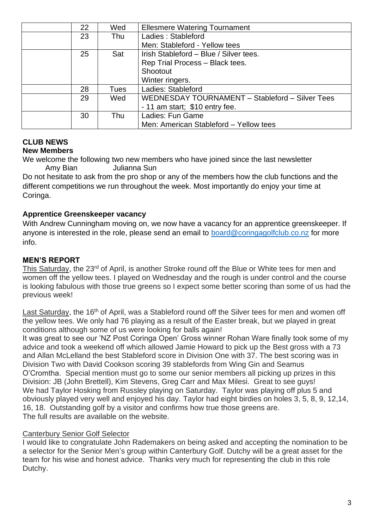| 22 | Wed  | <b>Ellesmere Watering Tournament</b>            |
|----|------|-------------------------------------------------|
| 23 | Thu  | Ladies: Stableford                              |
|    |      | Men: Stableford - Yellow tees                   |
| 25 | Sat  | Irish Stableford - Blue / Silver tees.          |
|    |      | Rep Trial Process - Black tees.                 |
|    |      | Shootout                                        |
|    |      | Winter ringers.                                 |
| 28 | Tues | Ladies: Stableford                              |
| 29 | Wed  | WEDNESDAY TOURNAMENT - Stableford - Silver Tees |
|    |      | - 11 am start; \$10 entry fee.                  |
| 30 | Thu  | Ladies: Fun Game                                |
|    |      | Men: American Stableford - Yellow tees          |

#### **CLUB NEWS New Members**

We welcome the following two new members who have joined since the last newsletter Amy Bian Julianna Sun

Do not hesitate to ask from the pro shop or any of the members how the club functions and the different competitions we run throughout the week. Most importantly do enjoy your time at Coringa.

## **Apprentice Greenskeeper vacancy**

With Andrew Cunningham moving on, we now have a vacancy for an apprentice greenskeeper. If anyone is interested in the role, please send an email to [board@coringagolfclub.co.nz](mailto:board@coringagolfclub.co.nz) for more info.

# **MEN'S REPORT**

This Saturday, the 23<sup>rd</sup> of April, is another Stroke round off the Blue or White tees for men and women off the yellow tees. I played on Wednesday and the rough is under control and the course is looking fabulous with those true greens so I expect some better scoring than some of us had the previous week!

Last Saturday, the 16<sup>th</sup> of April, was a Stableford round off the Silver tees for men and women off the yellow tees. We only had 76 playing as a result of the Easter break, but we played in great conditions although some of us were looking for balls again!

It was great to see our 'NZ Post Coringa Open' Gross winner Rohan Ware finally took some of my advice and took a weekend off which allowed Jamie Howard to pick up the Best gross with a 73 and Allan McLelland the best Stableford score in Division One with 37. The best scoring was in Division Two with David Cookson scoring 39 stablefords from Wing Gin and Seamus O'Cromtha. Special mention must go to some our senior members all picking up prizes in this Division: JB (John Brettell), Kim Stevens, Greg Carr and Max Milesi. Great to see guys! We had Taylor Hosking from Russley playing on Saturday. Taylor was playing off plus 5 and obviously played very well and enjoyed his day. Taylor had eight birdies on holes 3, 5, 8, 9, 12,14, 16, 18. Outstanding golf by a visitor and confirms how true those greens are. The full results are available on the website.

### Canterbury Senior Golf Selector

I would like to congratulate John Rademakers on being asked and accepting the nomination to be a selector for the Senior Men's group within Canterbury Golf. Dutchy will be a great asset for the team for his wise and honest advice. Thanks very much for representing the club in this role Dutchy.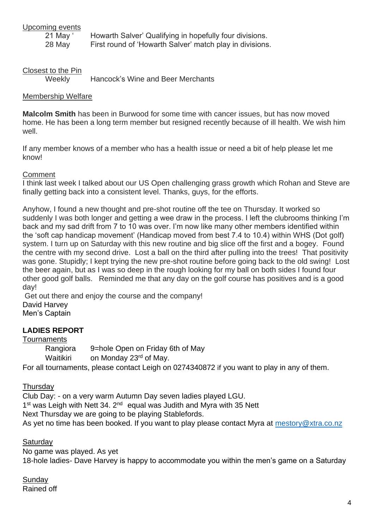# Upcoming events

21 May ' Howarth Salver' Qualifying in hopefully four divisions. 28 May First round of 'Howarth Salver' match play in divisions.

Closest to the Pin<br>Weekly

Hancock's Wine and Beer Merchants

### Membership Welfare

**Malcolm Smith** has been in Burwood for some time with cancer issues, but has now moved home. He has been a long term member but resigned recently because of ill health. We wish him well.

If any member knows of a member who has a health issue or need a bit of help please let me know!

### **Comment**

I think last week I talked about our US Open challenging grass growth which Rohan and Steve are finally getting back into a consistent level. Thanks, guys, for the efforts.

Anyhow, I found a new thought and pre-shot routine off the tee on Thursday. It worked so suddenly I was both longer and getting a wee draw in the process. I left the clubrooms thinking I'm back and my sad drift from 7 to 10 was over. I'm now like many other members identified within the 'soft cap handicap movement' (Handicap moved from best 7.4 to 10.4) within WHS (Dot golf) system. I turn up on Saturday with this new routine and big slice off the first and a bogey. Found the centre with my second drive. Lost a ball on the third after pulling into the trees! That positivity was gone. Stupidly; I kept trying the new pre-shot routine before going back to the old swing! Lost the beer again, but as I was so deep in the rough looking for my ball on both sides I found four other good golf balls. Reminded me that any day on the golf course has positives and is a good day!

Get out there and enjoy the course and the company! David Harvey Men's Captain

# **LADIES REPORT**

### **Tournaments**

Rangiora 9=hole Open on Friday 6th of May Waitikiri on Monday 23<sup>rd</sup> of May. For all tournaments, please contact Leigh on 0274340872 if you want to play in any of them.

### **Thursdav**

Club Day: - on a very warm Autumn Day seven ladies played LGU. 1<sup>st</sup> was Leigh with Nett 34. 2<sup>nd</sup> equal was Judith and Myra with 35 Nett Next Thursday we are going to be playing Stablefords. As yet no time has been booked. If you want to play please contact Myra at [mestory@xtra.co.nz](mailto:mestory@xtra.co.nz)

### **Saturday**

No game was played. As yet 18-hole ladies- Dave Harvey is happy to accommodate you within the men's game on a Saturday

**Sundav** Rained off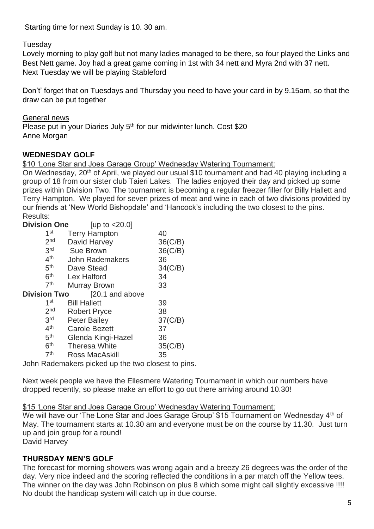Starting time for next Sunday is 10. 30 am.

#### Tuesday

Lovely morning to play golf but not many ladies managed to be there, so four played the Links and Best Nett game. Joy had a great game coming in 1st with 34 nett and Myra 2nd with 37 nett. Next Tuesday we will be playing Stableford

Don't' forget that on Tuesdays and Thursday you need to have your card in by 9.15am, so that the draw can be put together

General news Please put in your Diaries July 5<sup>th</sup> for our midwinter lunch. Cost \$20 Anne Morgan

#### **WEDNESDAY GOLF**

\$10 'Lone Star and Joes Garage Group' Wednesday Watering Tournament:

On Wednesday, 20<sup>th</sup> of April, we played our usual \$10 tournament and had 40 playing including a group of 18 from our sister club Taieri Lakes. The ladies enjoyed their day and picked up some prizes within Division Two. The tournament is becoming a regular freezer filler for Billy Hallett and Terry Hampton. We played for seven prizes of meat and wine in each of two divisions provided by our friends at 'New World Bishopdale' and 'Hancock's including the two closest to the pins. Results:

| <b>Division One</b> | [up to $<$ 20.0]       |                |
|---------------------|------------------------|----------------|
| 1 <sup>st</sup>     | <b>Terry Hampton</b>   | 40             |
| 2 <sub>nd</sub>     | David Harvey           | $36$ (C/B)     |
| 3 <sup>rd</sup>     | <b>Sue Brown</b>       | $36$ ( $C/B$ ) |
| 4 <sup>th</sup>     | <b>John Rademakers</b> | 36             |
| 5 <sup>th</sup>     | Dave Stead             | 34(C/B)        |
| 6 <sup>th</sup>     | Lex Halford            | 34             |
| 7 <sup>th</sup>     | Murray Brown           | 33             |
| <b>Division Two</b> | [20.1 and above        |                |
| 1st                 | <b>Bill Hallett</b>    | 39             |
| 2 <sub>nd</sub>     | <b>Robert Pryce</b>    | 38             |
| 3rd                 | <b>Peter Bailey</b>    | 37(C/B)        |
| 4 <sup>th</sup>     | <b>Carole Bezett</b>   | 37             |
| 5 <sup>th</sup>     | Glenda Kingi-Hazel     | 36             |
| 6 <sup>th</sup>     | <b>Theresa White</b>   | 35(C/B)        |
| 7 <sup>th</sup>     | Ross MacAskill         | 35             |
|                     |                        |                |

John Rademakers picked up the two closest to pins.

Next week people we have the Ellesmere Watering Tournament in which our numbers have dropped recently, so please make an effort to go out there arriving around 10.30!

\$15 'Lone Star and Joes Garage Group' Wednesday Watering Tournament:

We will have our 'The Lone Star and Joes Garage Group' \$15 Tournament on Wednesday 4<sup>th</sup> of May. The tournament starts at 10.30 am and everyone must be on the course by 11.30. Just turn up and join group for a round!

David Harvey

### **THURSDAY MEN'S GOLF**

The forecast for morning showers was wrong again and a breezy 26 degrees was the order of the day. Very nice indeed and the scoring reflected the conditions in a par match off the Yellow tees. The winner on the day was John Robinson on plus 8 which some might call slightly excessive !!!! No doubt the handicap system will catch up in due course.